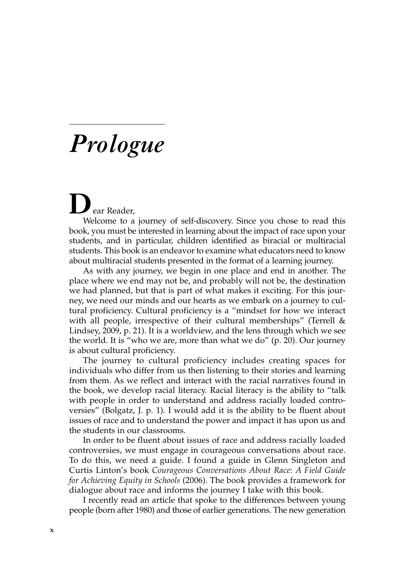# *Prologue*

**D**ear Reader,

Welcome to a journey of self-discovery. Since you chose to read this book, you must be interested in learning about the impact of race upon your students, and in particular, children identified as biracial or multiracial students. This book is an endeavor to examine what educators need to know about multiracial students presented in the format of a learning journey.

As with any journey, we begin in one place and end in another. The place where we end may not be, and probably will not be, the destination we had planned, but that is part of what makes it exciting. For this journey, we need our minds and our hearts as we embark on a journey to cultural proficiency. Cultural proficiency is a "mindset for how we interact with all people, irrespective of their cultural memberships" (Terrell & Lindsey, 2009, p. 21). It is a worldview, and the lens through which we see the world. It is "who we are, more than what we do" (p. 20). Our journey is about cultural proficiency.

The journey to cultural proficiency includes creating spaces for individuals who differ from us then listening to their stories and learning from them. As we reflect and interact with the racial narratives found in the book, we develop racial literacy. Racial literacy is the ability to "talk with people in order to understand and address racially loaded controversies" (Bolgatz, J. p. 1). I would add it is the ability to be fluent about issues of race and to understand the power and impact it has upon us and the students in our classrooms.

In order to be fluent about issues of race and address racially loaded controversies, we must engage in courageous conversations about race. To do this, we need a guide. I found a guide in Glenn Singleton and Curtis Linton's book *Courageous Conversations About Race: A Field Guide for Achieving Equity in Schools* (2006). The book provides a framework for dialogue about race and informs the journey I take with this book.

I recently read an article that spoke to the differences between young people (born after 1980) and those of earlier generations. The new generation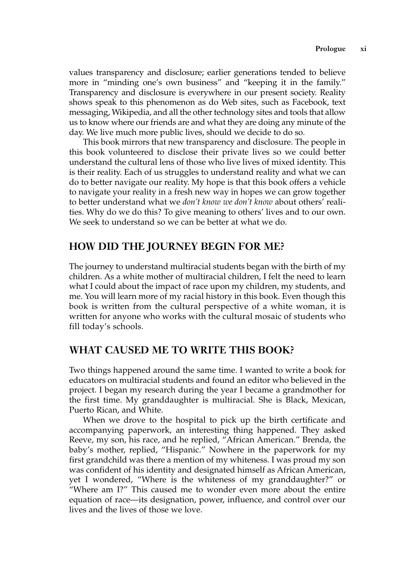values transparency and disclosure; earlier generations tended to believe more in "minding one's own business" and "keeping it in the family." Transparency and disclosure is everywhere in our present society. Reality shows speak to this phenomenon as do Web sites, such as Facebook, text messaging, Wikipedia, and all the other technology sites and tools that allow us to know where our friends are and what they are doing any minute of the day. We live much more public lives, should we decide to do so.

This book mirrors that new transparency and disclosure. The people in this book volunteered to disclose their private lives so we could better understand the cultural lens of those who live lives of mixed identity. This is their reality. Each of us struggles to understand reality and what we can do to better navigate our reality. My hope is that this book offers a vehicle to navigate your reality in a fresh new way in hopes we can grow together to better understand what we *don't know we don't know* about others' realities. Why do we do this? To give meaning to others' lives and to our own. We seek to understand so we can be better at what we do.

## **HOW DID THE JOURNEY BEGIN FOR ME?**

The journey to understand multiracial students began with the birth of my children. As a white mother of multiracial children, I felt the need to learn what I could about the impact of race upon my children, my students, and me. You will learn more of my racial history in this book. Even though this book is written from the cultural perspective of a white woman, it is written for anyone who works with the cultural mosaic of students who fill today's schools.

## **WHAT CAUSED ME TO WRITE THIS BOOK?**

Two things happened around the same time. I wanted to write a book for educators on multiracial students and found an editor who believed in the project. I began my research during the year I became a grandmother for the first time. My granddaughter is multiracial. She is Black, Mexican, Puerto Rican, and White.

When we drove to the hospital to pick up the birth certificate and accompanying paperwork, an interesting thing happened. They asked Reeve, my son, his race, and he replied, "African American." Brenda, the baby's mother, replied, "Hispanic." Nowhere in the paperwork for my first grandchild was there a mention of my whiteness. I was proud my son was confident of his identity and designated himself as African American, yet I wondered, "Where is the whiteness of my granddaughter?" or "Where am I?" This caused me to wonder even more about the entire equation of race—its designation, power, influence, and control over our lives and the lives of those we love.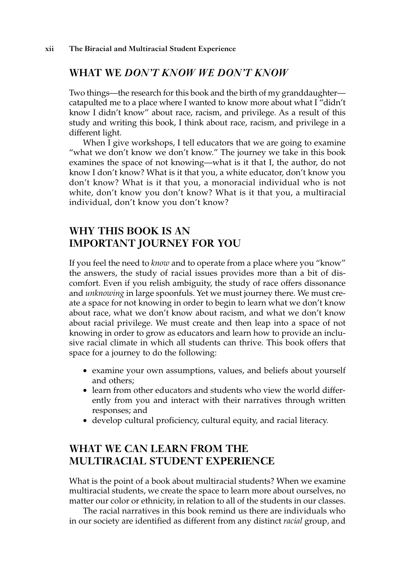#### **WHAT WE** *DON'T KNOW WE DON'T KNOW*

Two things—the research for this book and the birth of my granddaughter catapulted me to a place where I wanted to know more about what I "didn't know I didn't know" about race, racism, and privilege. As a result of this study and writing this book, I think about race, racism, and privilege in a different light.

When I give workshops, I tell educators that we are going to examine "what we don't know we don't know." The journey we take in this book examines the space of not knowing—what is it that I, the author, do not know I don't know? What is it that you, a white educator, don't know you don't know? What is it that you, a monoracial individual who is not white, don't know you don't know? What is it that you, a multiracial individual, don't know you don't know?

# **WHY THIS BOOK IS AN IMPORTANT JOURNEY FOR YOU**

If you feel the need to *know* and to operate from a place where you "know" the answers, the study of racial issues provides more than a bit of discomfort. Even if you relish ambiguity, the study of race offers dissonance and *unknowing* in large spoonfuls. Yet we must journey there. We must create a space for not knowing in order to begin to learn what we don't know about race, what we don't know about racism, and what we don't know about racial privilege. We must create and then leap into a space of not knowing in order to grow as educators and learn how to provide an inclusive racial climate in which all students can thrive. This book offers that space for a journey to do the following:

- examine your own assumptions, values, and beliefs about yourself and others;
- learn from other educators and students who view the world differently from you and interact with their narratives through written responses; and
- develop cultural proficiency, cultural equity, and racial literacy.

# **WHAT WE CAN LEARN FROM THE MULTIRACIAL STUDENT EXPERIENCE**

What is the point of a book about multiracial students? When we examine multiracial students, we create the space to learn more about ourselves, no matter our color or ethnicity, in relation to all of the students in our classes.

The racial narratives in this book remind us there are individuals who in our society are identified as different from any distinct *racial* group, and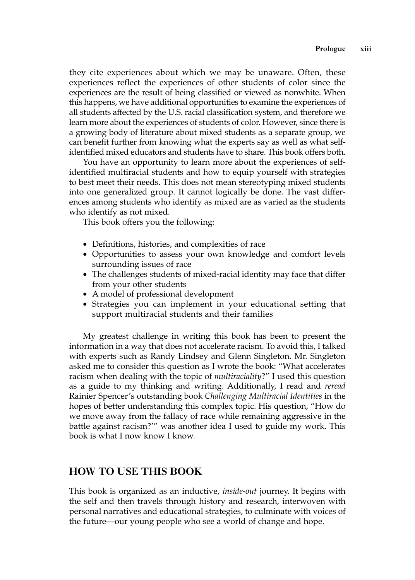they cite experiences about which we may be unaware. Often, these experiences reflect the experiences of other students of color since the experiences are the result of being classified or viewed as nonwhite. When this happens, we have additional opportunities to examine the experiences of all students affected by the U.S. racial classification system, and therefore we learn more about the experiences of students of color. However, since there is a growing body of literature about mixed students as a separate group, we can benefit further from knowing what the experts say as well as what selfidentified mixed educators and students have to share. This book offers both.

You have an opportunity to learn more about the experiences of selfidentified multiracial students and how to equip yourself with strategies to best meet their needs. This does not mean stereotyping mixed students into one generalized group. It cannot logically be done. The vast differences among students who identify as mixed are as varied as the students who identify as not mixed.

This book offers you the following:

- Definitions, histories, and complexities of race
- Opportunities to assess your own knowledge and comfort levels surrounding issues of race
- The challenges students of mixed-racial identity may face that differ from your other students
- A model of professional development
- Strategies you can implement in your educational setting that support multiracial students and their families

My greatest challenge in writing this book has been to present the information in a way that does not accelerate racism. To avoid this, I talked with experts such as Randy Lindsey and Glenn Singleton. Mr. Singleton asked me to consider this question as I wrote the book: "What accelerates racism when dealing with the topic of *multiraciality*?" I used this question as a guide to my thinking and writing. Additionally, I read and *reread* Rainier Spencer's outstanding book *Challenging Multiracial Identities* in the hopes of better understanding this complex topic. His question, "How do we move away from the fallacy of race while remaining aggressive in the battle against racism?'" was another idea I used to guide my work. This book is what I now know I know.

#### **HOW TO USE THIS BOOK**

This book is organized as an inductive, *inside-out* journey. It begins with the self and then travels through history and research, interwoven with personal narratives and educational strategies, to culminate with voices of the future—our young people who see a world of change and hope.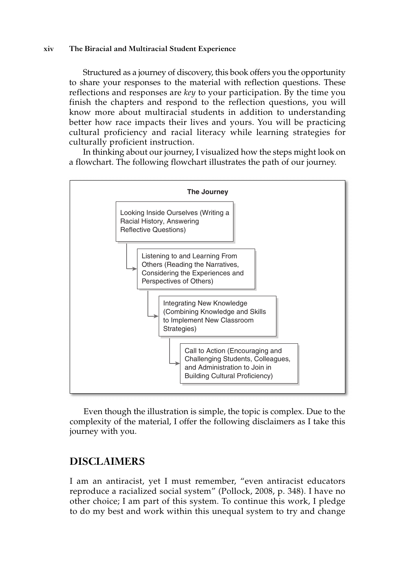#### **xiv The Biracial and Multiracial Student Experience**

Structured as a journey of discovery, this book offers you the opportunity to share your responses to the material with reflection questions. These reflections and responses are *key* to your participation. By the time you finish the chapters and respond to the reflection questions, you will know more about multiracial students in addition to understanding better how race impacts their lives and yours. You will be practicing cultural proficiency and racial literacy while learning strategies for culturally proficient instruction.

In thinking about our journey, I visualized how the steps might look on a flowchart. The following flowchart illustrates the path of our journey.



Even though the illustration is simple, the topic is complex. Due to the complexity of the material, I offer the following disclaimers as I take this journey with you.

#### **DISCLAIMERS**

I am an antiracist, yet I must remember, "even antiracist educators reproduce a racialized social system" (Pollock, 2008, p. 348). I have no other choice; I am part of this system. To continue this work, I pledge to do my best and work within this unequal system to try and change